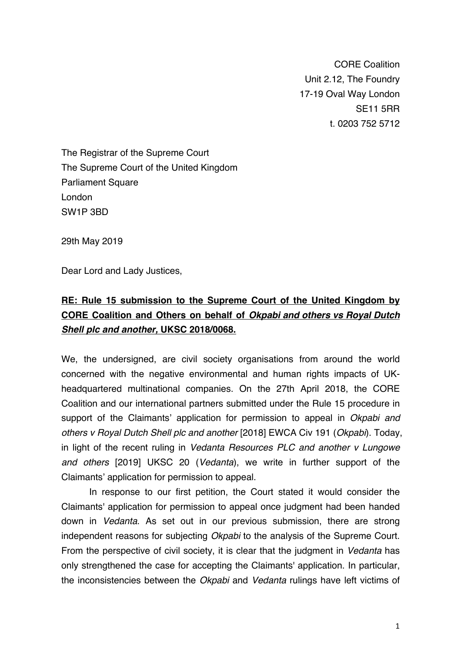CORE Coalition Unit 2.12, The Foundry 17-19 Oval Way London SE11 5RR t. 0203 752 5712

The Registrar of the Supreme Court The Supreme Court of the United Kingdom Parliament Square London SW1P 3BD

29th May 2019

Dear Lord and Lady Justices,

## **RE: Rule 15 submission to the Supreme Court of the United Kingdom by CORE Coalition and Others on behalf of** *Okpabi and others vs Royal Dutch Shell plc and another,* **UKSC 2018/0068.**

We, the undersigned, are civil society organisations from around the world concerned with the negative environmental and human rights impacts of UKheadquartered multinational companies. On the 27th April 2018, the CORE Coalition and our international partners submitted under the Rule 15 procedure in support of the Claimants' application for permission to appeal in *Okpabi and others v Royal Dutch Shell plc and another* [2018] EWCA Civ 191 (*Okpabi*). Today, in light of the recent ruling in *Vedanta Resources PLC and another v Lungowe and others* [2019] UKSC 20 (*Vedanta*), we write in further support of the Claimants' application for permission to appeal.

In response to our first petition, the Court stated it would consider the Claimants' application for permission to appeal once judgment had been handed down in *Vedanta*. As set out in our previous submission, there are strong independent reasons for subjecting *Okpabi* to the analysis of the Supreme Court. From the perspective of civil society, it is clear that the judgment in *Vedanta* has only strengthened the case for accepting the Claimants' application. In particular, the inconsistencies between the *Okpabi* and *Vedanta* rulings have left victims of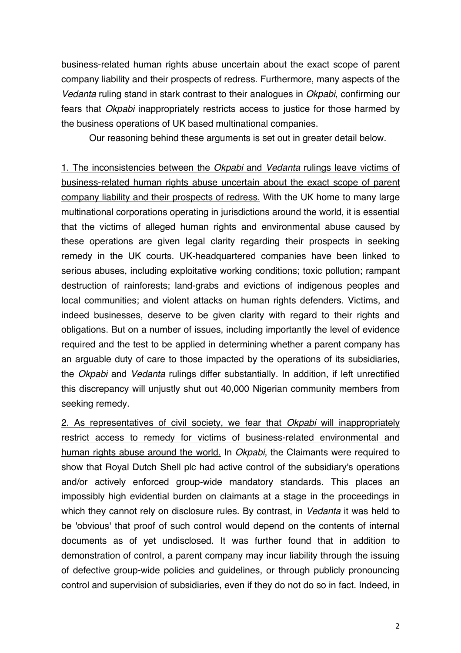business-related human rights abuse uncertain about the exact scope of parent company liability and their prospects of redress. Furthermore, many aspects of the *Vedanta* ruling stand in stark contrast to their analogues in *Okpabi*, confirming our fears that *Okpabi* inappropriately restricts access to justice for those harmed by the business operations of UK based multinational companies.

Our reasoning behind these arguments is set out in greater detail below.

1. The inconsistencies between the *Okpabi* and *Vedanta* rulings leave victims of business-related human rights abuse uncertain about the exact scope of parent company liability and their prospects of redress. With the UK home to many large multinational corporations operating in jurisdictions around the world, it is essential that the victims of alleged human rights and environmental abuse caused by these operations are given legal clarity regarding their prospects in seeking remedy in the UK courts. UK-headquartered companies have been linked to serious abuses, including exploitative working conditions; toxic pollution; rampant destruction of rainforests; land-grabs and evictions of indigenous peoples and local communities; and violent attacks on human rights defenders. Victims, and indeed businesses, deserve to be given clarity with regard to their rights and obligations. But on a number of issues, including importantly the level of evidence required and the test to be applied in determining whether a parent company has an arguable duty of care to those impacted by the operations of its subsidiaries, the *Okpabi* and *Vedanta* rulings differ substantially. In addition, if left unrectified this discrepancy will unjustly shut out 40,000 Nigerian community members from seeking remedy.

2. As representatives of civil society, we fear that *Okpabi* will inappropriately restrict access to remedy for victims of business-related environmental and human rights abuse around the world. In *Okpabi*, the Claimants were required to show that Royal Dutch Shell plc had active control of the subsidiary's operations and/or actively enforced group-wide mandatory standards. This places an impossibly high evidential burden on claimants at a stage in the proceedings in which they cannot rely on disclosure rules. By contrast, in *Vedanta* it was held to be 'obvious' that proof of such control would depend on the contents of internal documents as of yet undisclosed. It was further found that in addition to demonstration of control, a parent company may incur liability through the issuing of defective group-wide policies and guidelines, or through publicly pronouncing control and supervision of subsidiaries, even if they do not do so in fact. Indeed, in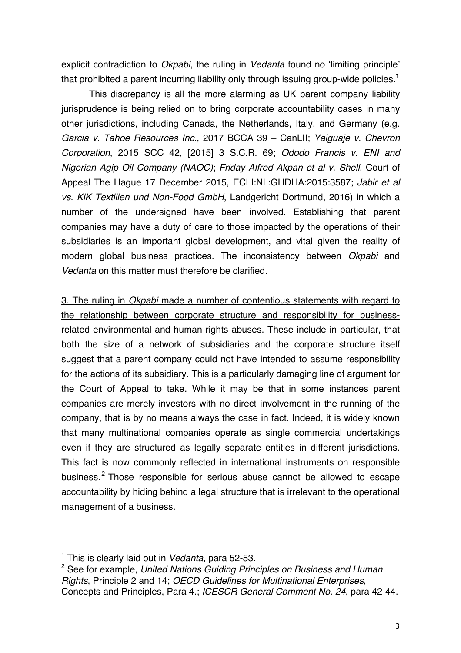explicit contradiction to *Okpabi*, the ruling in *Vedanta* found no 'limiting principle' that prohibited a parent incurring liability only through issuing group-wide policies.<sup>1</sup>

This discrepancy is all the more alarming as UK parent company liability jurisprudence is being relied on to bring corporate accountability cases in many other jurisdictions, including Canada, the Netherlands, Italy, and Germany (e.g. *Garcia v. Tahoe Resources Inc*., 2017 BCCA 39 – CanLII; *Yaiguaje v. Chevron Corporation*, 2015 SCC 42, [2015] 3 S.C.R. 69; *Ododo Francis v. ENI and Nigerian Agip Oil Company (NAOC)*; *Friday Alfred Akpan et al v. Shell*, Court of Appeal The Hague 17 December 2015, ECLI:NL:GHDHA:2015:3587; *Jabir et al vs. KiK Textilien und Non-Food GmbH*, Landgericht Dortmund, 2016) in which a number of the undersigned have been involved. Establishing that parent companies may have a duty of care to those impacted by the operations of their subsidiaries is an important global development, and vital given the reality of modern global business practices. The inconsistency between *Okpabi* and *Vedanta* on this matter must therefore be clarified.

3. The ruling in *Okpabi* made a number of contentious statements with regard to the relationship between corporate structure and responsibility for businessrelated environmental and human rights abuses. These include in particular, that both the size of a network of subsidiaries and the corporate structure itself suggest that a parent company could not have intended to assume responsibility for the actions of its subsidiary. This is a particularly damaging line of argument for the Court of Appeal to take. While it may be that in some instances parent companies are merely investors with no direct involvement in the running of the company, that is by no means always the case in fact. Indeed, it is widely known that many multinational companies operate as single commercial undertakings even if they are structured as legally separate entities in different jurisdictions. This fact is now commonly reflected in international instruments on responsible business.<sup>2</sup> Those responsible for serious abuse cannot be allowed to escape accountability by hiding behind a legal structure that is irrelevant to the operational management of a business.

<u> 1989 - Johann Barn, mars ann an t-Amhain an t-Amhain an t-Amhain an t-Amhain an t-Amhain an t-Amhain an t-Amh</u>

<sup>1</sup> This is clearly laid out in *Vedanta*, para 52-53.

<sup>2</sup> See for example, *United Nations Guiding Principles on Business and Human Rights*, Principle 2 and 14; *OECD Guidelines for Multinational Enterprises*, Concepts and Principles, Para 4.; *ICESCR General Comment No. 24*, para 42-44.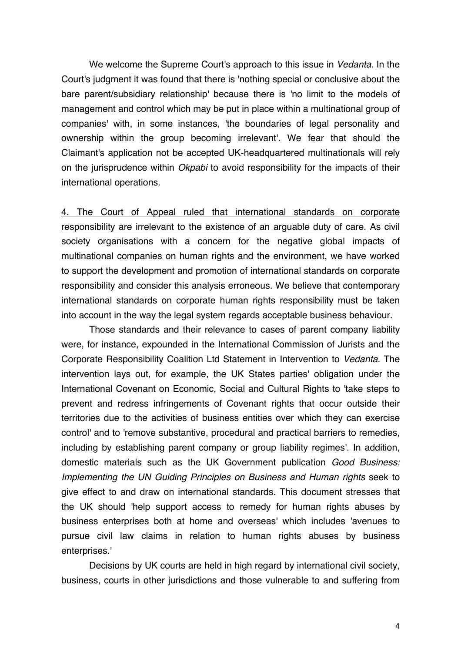We welcome the Supreme Court's approach to this issue in *Vedanta*. In the Court's judgment it was found that there is 'nothing special or conclusive about the bare parent/subsidiary relationship' because there is 'no limit to the models of management and control which may be put in place within a multinational group of companies' with, in some instances, 'the boundaries of legal personality and ownership within the group becoming irrelevant'. We fear that should the Claimant's application not be accepted UK-headquartered multinationals will rely on the jurisprudence within *Okpabi* to avoid responsibility for the impacts of their international operations.

4. The Court of Appeal ruled that international standards on corporate responsibility are irrelevant to the existence of an arguable duty of care. As civil society organisations with a concern for the negative global impacts of multinational companies on human rights and the environment, we have worked to support the development and promotion of international standards on corporate responsibility and consider this analysis erroneous. We believe that contemporary international standards on corporate human rights responsibility must be taken into account in the way the legal system regards acceptable business behaviour.

Those standards and their relevance to cases of parent company liability were, for instance, expounded in the International Commission of Jurists and the Corporate Responsibility Coalition Ltd Statement in Intervention to *Vedanta*. The intervention lays out, for example, the UK States parties' obligation under the International Covenant on Economic, Social and Cultural Rights to 'take steps to prevent and redress infringements of Covenant rights that occur outside their territories due to the activities of business entities over which they can exercise control' and to 'remove substantive, procedural and practical barriers to remedies, including by establishing parent company or group liability regimes'. In addition, domestic materials such as the UK Government publication *Good Business: Implementing the UN Guiding Principles on Business and Human rights* seek to give effect to and draw on international standards. This document stresses that the UK should 'help support access to remedy for human rights abuses by business enterprises both at home and overseas' which includes 'avenues to pursue civil law claims in relation to human rights abuses by business enterprises.'

Decisions by UK courts are held in high regard by international civil society, business, courts in other jurisdictions and those vulnerable to and suffering from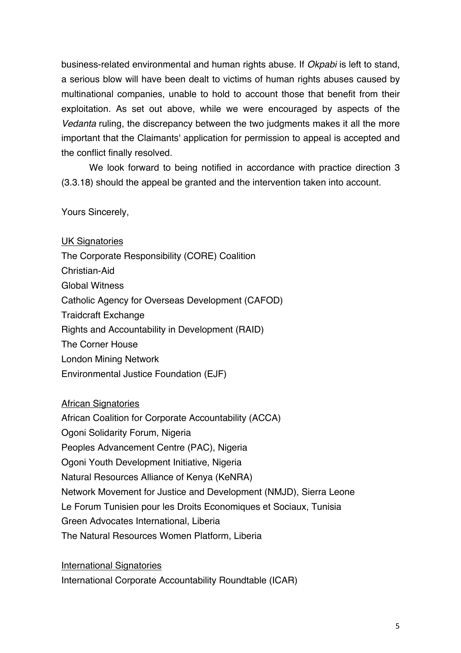business-related environmental and human rights abuse. If *Okpabi* is left to stand, a serious blow will have been dealt to victims of human rights abuses caused by multinational companies, unable to hold to account those that benefit from their exploitation. As set out above, while we were encouraged by aspects of the *Vedanta* ruling, the discrepancy between the two judgments makes it all the more important that the Claimants' application for permission to appeal is accepted and the conflict finally resolved.

We look forward to being notified in accordance with practice direction 3 (3.3.18) should the appeal be granted and the intervention taken into account.

Yours Sincerely,

UK Signatories The Corporate Responsibility (CORE) Coalition Christian-Aid Global Witness Catholic Agency for Overseas Development (CAFOD) Traidcraft Exchange Rights and Accountability in Development (RAID) The Corner House London Mining Network Environmental Justice Foundation (EJF)

African Signatories

African Coalition for Corporate Accountability (ACCA) Ogoni Solidarity Forum, Nigeria Peoples Advancement Centre (PAC), Nigeria Ogoni Youth Development Initiative, Nigeria Natural Resources Alliance of Kenya (KeNRA) Network Movement for Justice and Development (NMJD), Sierra Leone Le Forum Tunisien pour les Droits Economiques et Sociaux, Tunisia Green Advocates International, Liberia The Natural Resources Women Platform, Liberia

International Signatories International Corporate Accountability Roundtable (ICAR)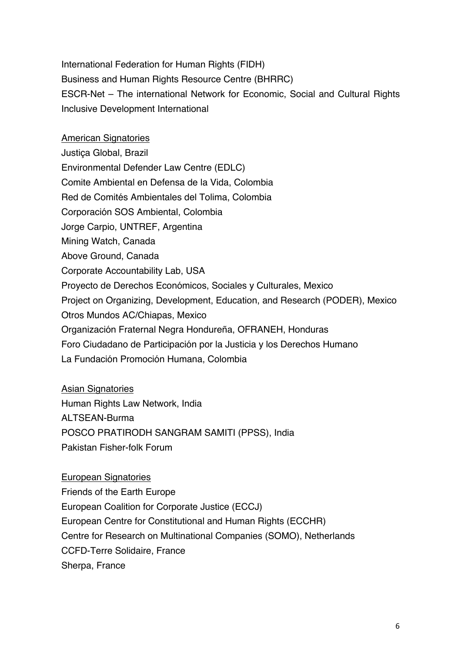International Federation for Human Rights (FIDH) Business and Human Rights Resource Centre (BHRRC) ESCR-Net – The international Network for Economic, Social and Cultural Rights Inclusive Development International

American Signatories

Justiça Global, Brazil Environmental Defender Law Centre (EDLC) Comite Ambiental en Defensa de la Vida, Colombia Red de Comités Ambientales del Tolima, Colombia Corporación SOS Ambiental, Colombia Jorge Carpio, UNTREF, Argentina Mining Watch, Canada Above Ground, Canada Corporate Accountability Lab, USA Proyecto de Derechos Económicos, Sociales y Culturales, Mexico Project on Organizing, Development, Education, and Research (PODER), Mexico Otros Mundos AC/Chiapas, Mexico Organización Fraternal Negra Hondureña, OFRANEH, Honduras Foro Ciudadano de Participación por la Justicia y los Derechos Humano La Fundación Promoción Humana, Colombia

Asian Signatories Human Rights Law Network, India ALTSEAN-Burma POSCO PRATIRODH SANGRAM SAMITI (PPSS), India Pakistan Fisher-folk Forum

European Signatories Friends of the Earth Europe European Coalition for Corporate Justice (ECCJ) European Centre for Constitutional and Human Rights (ECCHR) Centre for Research on Multinational Companies (SOMO), Netherlands CCFD-Terre Solidaire, France Sherpa, France